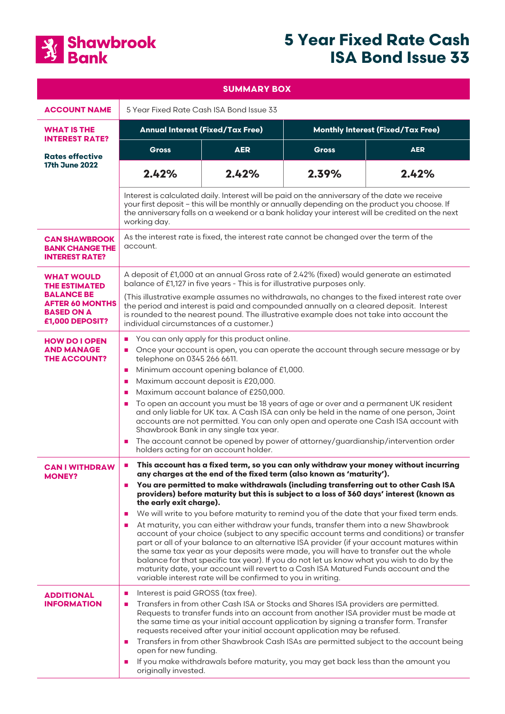

# **5 Year Fixed Rate Cash ISA Bond Issue 33**

| <b>SUMMARY BOX</b>                                                                                                               |                                                                                                                                                                                                                                                                                                                                                                                                                                                                                                                                                                                                                                                                                                                                                                                                                                                                                                                                                                                                                                                                                                                                                   |            |                                          |            |
|----------------------------------------------------------------------------------------------------------------------------------|---------------------------------------------------------------------------------------------------------------------------------------------------------------------------------------------------------------------------------------------------------------------------------------------------------------------------------------------------------------------------------------------------------------------------------------------------------------------------------------------------------------------------------------------------------------------------------------------------------------------------------------------------------------------------------------------------------------------------------------------------------------------------------------------------------------------------------------------------------------------------------------------------------------------------------------------------------------------------------------------------------------------------------------------------------------------------------------------------------------------------------------------------|------------|------------------------------------------|------------|
| <b>ACCOUNT NAME</b>                                                                                                              | 5 Year Fixed Rate Cash ISA Bond Issue 33                                                                                                                                                                                                                                                                                                                                                                                                                                                                                                                                                                                                                                                                                                                                                                                                                                                                                                                                                                                                                                                                                                          |            |                                          |            |
| <b>WHAT IS THE</b><br><b>INTEREST RATE?</b>                                                                                      | <b>Annual Interest (Fixed/Tax Free)</b>                                                                                                                                                                                                                                                                                                                                                                                                                                                                                                                                                                                                                                                                                                                                                                                                                                                                                                                                                                                                                                                                                                           |            | <b>Monthly Interest (Fixed/Tax Free)</b> |            |
| <b>Rates effective</b><br><b>17th June 2022</b>                                                                                  | <b>Gross</b>                                                                                                                                                                                                                                                                                                                                                                                                                                                                                                                                                                                                                                                                                                                                                                                                                                                                                                                                                                                                                                                                                                                                      | <b>AER</b> | <b>Gross</b>                             | <b>AER</b> |
|                                                                                                                                  | 2.42%                                                                                                                                                                                                                                                                                                                                                                                                                                                                                                                                                                                                                                                                                                                                                                                                                                                                                                                                                                                                                                                                                                                                             | 2.42%      | 2.39%                                    | 2.42%      |
|                                                                                                                                  | Interest is calculated daily. Interest will be paid on the anniversary of the date we receive<br>your first deposit - this will be monthly or annually depending on the product you choose. If<br>the anniversary falls on a weekend or a bank holiday your interest will be credited on the next<br>working day.                                                                                                                                                                                                                                                                                                                                                                                                                                                                                                                                                                                                                                                                                                                                                                                                                                 |            |                                          |            |
| <b>CAN SHAWBROOK</b><br><b>BANK CHANGE THE</b><br><b>INTEREST RATE?</b>                                                          | As the interest rate is fixed, the interest rate cannot be changed over the term of the<br>account.                                                                                                                                                                                                                                                                                                                                                                                                                                                                                                                                                                                                                                                                                                                                                                                                                                                                                                                                                                                                                                               |            |                                          |            |
| <b>WHAT WOULD</b><br><b>THE ESTIMATED</b><br><b>BALANCE BE</b><br><b>AFTER 60 MONTHS</b><br><b>BASED ON A</b><br>£1,000 DEPOSIT? | A deposit of £1,000 at an annual Gross rate of 2.42% (fixed) would generate an estimated<br>balance of £1,127 in five years - This is for illustrative purposes only.<br>(This illustrative example assumes no withdrawals, no changes to the fixed interest rate over<br>the period and interest is paid and compounded annually on a cleared deposit. Interest<br>is rounded to the nearest pound. The illustrative example does not take into account the<br>individual circumstances of a customer.)                                                                                                                                                                                                                                                                                                                                                                                                                                                                                                                                                                                                                                          |            |                                          |            |
| <b>HOW DO I OPEN</b><br><b>AND MANAGE</b><br><b>THE ACCOUNT?</b>                                                                 | You can only apply for this product online.<br>$\blacksquare$<br>Once your account is open, you can operate the account through secure message or by<br>ш<br>telephone on 0345 266 6611.<br>Minimum account opening balance of £1,000.<br>$\blacksquare$<br>Maximum account deposit is £20,000.<br>п<br>Maximum account balance of £250,000.<br>п<br>To open an account you must be 18 years of age or over and a permanent UK resident<br>п<br>and only liable for UK tax. A Cash ISA can only be held in the name of one person, Joint<br>accounts are not permitted. You can only open and operate one Cash ISA account with<br>Shawbrook Bank in any single tax year.<br>The account cannot be opened by power of attorney/guardianship/intervention order<br>п<br>holders acting for an account holder.                                                                                                                                                                                                                                                                                                                                      |            |                                          |            |
| <b>CAN I WITHDRAW</b><br><b>MONEY?</b>                                                                                           | This account has a fixed term, so you can only withdraw your money without incurring<br>$\blacksquare$<br>any charges at the end of the fixed term (also known as 'maturity').<br>You are permitted to make withdrawals (including transferring out to other Cash ISA<br>$\mathbf{r}$<br>providers) before maturity but this is subject to a loss of 360 days' interest (known as<br>the early exit charge).<br>We will write to you before maturity to remind you of the date that your fixed term ends.<br>п<br>At maturity, you can either withdraw your funds, transfer them into a new Shawbrook<br>ш<br>account of your choice (subject to any specific account terms and conditions) or transfer<br>part or all of your balance to an alternative ISA provider (if your account matures within<br>the same tax year as your deposits were made, you will have to transfer out the whole<br>balance for that specific tax year). If you do not let us know what you wish to do by the<br>maturity date, your account will revert to a Cash ISA Matured Funds account and the<br>variable interest rate will be confirmed to you in writing. |            |                                          |            |
| <b>ADDITIONAL</b><br><b>INFORMATION</b>                                                                                          | Interest is paid GROSS (tax free).<br>п<br>Transfers in from other Cash ISA or Stocks and Shares ISA providers are permitted.<br>$\blacksquare$<br>Requests to transfer funds into an account from another ISA provider must be made at<br>the same time as your initial account application by signing a transfer form. Transfer<br>requests received after your initial account application may be refused.<br>Transfers in from other Shawbrook Cash ISAs are permitted subject to the account being<br>п<br>open for new funding.<br>If you make withdrawals before maturity, you may get back less than the amount you<br>ш<br>originally invested.                                                                                                                                                                                                                                                                                                                                                                                                                                                                                          |            |                                          |            |